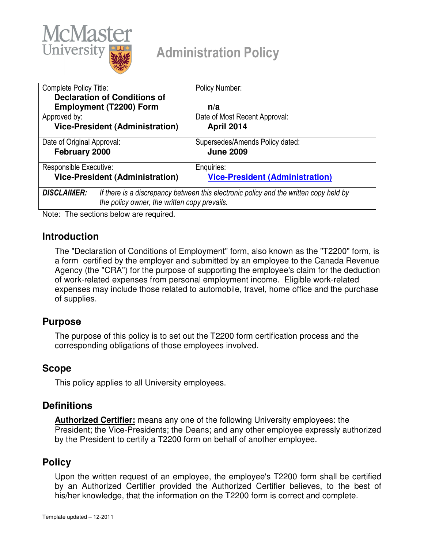

# Administration Policy

| Complete Policy Title:                                                                                                                                      | Policy Number:                                      |
|-------------------------------------------------------------------------------------------------------------------------------------------------------------|-----------------------------------------------------|
| <b>Declaration of Conditions of</b>                                                                                                                         |                                                     |
| <b>Employment (T2200) Form</b>                                                                                                                              | n/a                                                 |
| Approved by:                                                                                                                                                | Date of Most Recent Approval:                       |
| <b>Vice-President (Administration)</b>                                                                                                                      | <b>April 2014</b>                                   |
| Date of Original Approval:<br>February 2000                                                                                                                 | Supersedes/Amends Policy dated:<br><b>June 2009</b> |
| Responsible Executive:                                                                                                                                      | Enquiries:                                          |
| <b>Vice-President (Administration)</b>                                                                                                                      | <b>Vice-President (Administration)</b>              |
| <b>DISCLAIMER:</b><br>If there is a discrepancy between this electronic policy and the written copy held by<br>the policy owner, the written copy prevails. |                                                     |

Note: The sections below are required.

## **Introduction**

The "Declaration of Conditions of Employment" form, also known as the "T2200" form, is a form certified by the employer and submitted by an employee to the Canada Revenue Agency (the "CRA") for the purpose of supporting the employee's claim for the deduction of work-related expenses from personal employment income. Eligible work-related expenses may include those related to automobile, travel, home office and the purchase of supplies.

## **Purpose**

The purpose of this policy is to set out the T2200 form certification process and the corresponding obligations of those employees involved.

## **Scope**

This policy applies to all University employees.

## **Definitions**

**Authorized Certifier:** means any one of the following University employees: the President; the Vice-Presidents; the Deans; and any other employee expressly authorized by the President to certify a T2200 form on behalf of another employee.

## **Policy**

Upon the written request of an employee, the employee's T2200 form shall be certified by an Authorized Certifier provided the Authorized Certifier believes, to the best of his/her knowledge, that the information on the T2200 form is correct and complete.